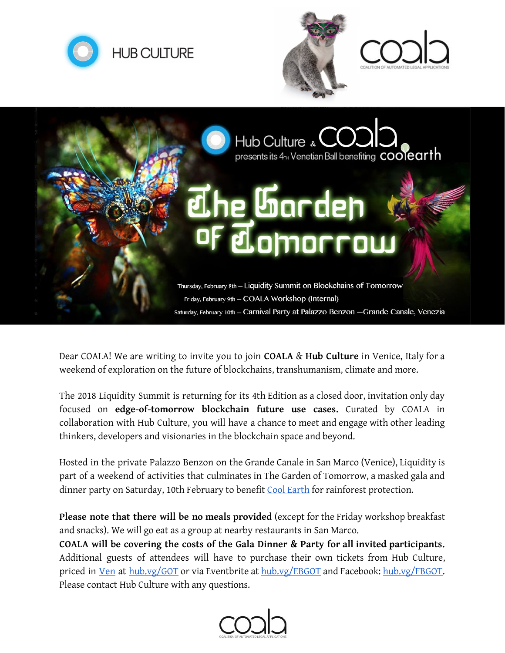







Dear COALA! We are writing to invite you to join **COALA** & **Hub Culture** in Venice, Italy for a weekend of exploration on the future of blockchains, transhumanism, climate and more.

The 2018 Liquidity Summit is returning for its 4th Edition as a closed door, invitation only day focused on **edge-of-tomorrow blockchain future use cases.** Curated by COALA in collaboration with Hub Culture, you will have a chance to meet and engage with other leading thinkers, developers and visionaries in the blockchain space and beyond.

Hosted in the private Palazzo Benzon on the Grande Canale in San Marco (Venice), Liquidity is part of a weekend of activities that culminates in The Garden of Tomorrow, a masked gala and dinner party on Saturday, 10th February to benefit [Cool Earth](https://www.coolearth.org/) for rainforest protection.

**Please note that there will be no meals provided** (except for the Friday workshop breakfast and snacks). We will go eat as a group at nearby restaurants in San Marco.

**COALA will be covering the costs of the Gala Dinner & Party for all invited participants.** Additional guests of attendees will have to purchase their own tickets from Hub Culture, priced in [Ven](https://ven.vc/) at [hub.vg/GOT](http://hub.vg/GOT) or via Eventbrite at [hub.vg/EBGOT](https://www.eventbrite.com/e/the-garden-of-tomorrow-hub-culture-venice-2018-tickets-40762381380?aff=eac2) and Facebook: [hub.vg/FBGOT.](https://www.facebook.com/events/187197268506116/) Please contact Hub Culture with any questions.